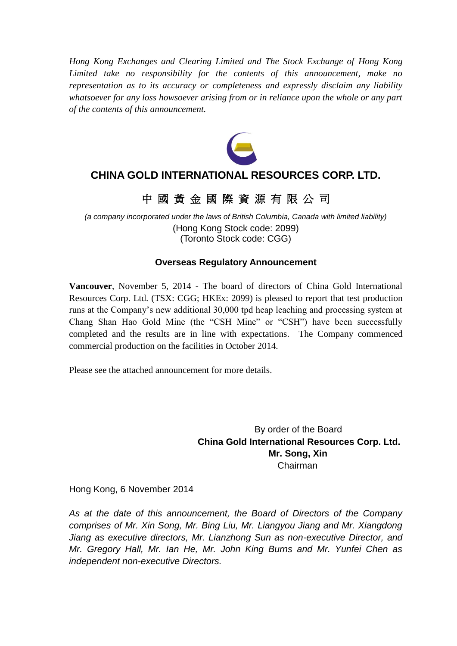*Hong Kong Exchanges and Clearing Limited and The Stock Exchange of Hong Kong Limited take no responsibility for the contents of this announcement, make no representation as to its accuracy or completeness and expressly disclaim any liability whatsoever for any loss howsoever arising from or in reliance upon the whole or any part of the contents of this announcement.*



## **CHINA GOLD INTERNATIONAL RESOURCES CORP. LTD.**

## 中 國 黃 金 國 際 資 源 有 限 公 司

*(a company incorporated under the laws of British Columbia, Canada with limited liability)* (Hong Kong Stock code: 2099) (Toronto Stock code: CGG)

### **Overseas Regulatory Announcement**

**Vancouver**, November 5, 2014 - The board of directors of China Gold International Resources Corp. Ltd. (TSX: CGG; HKEx: 2099) is pleased to report that test production runs at the Company's new additional 30,000 tpd heap leaching and processing system at Chang Shan Hao Gold Mine (the "CSH Mine" or "CSH") have been successfully completed and the results are in line with expectations. The Company commenced commercial production on the facilities in October 2014.

Please see the attached announcement for more details.

By order of the Board **China Gold International Resources Corp. Ltd. Mr. Song, Xin** Chairman

Hong Kong, 6 November 2014

*As at the date of this announcement, the Board of Directors of the Company comprises of Mr. Xin Song, Mr. Bing Liu, Mr. Liangyou Jiang and Mr. Xiangdong Jiang as executive directors, Mr. Lianzhong Sun as non-executive Director, and Mr. Gregory Hall, Mr. Ian He, Mr. John King Burns and Mr. Yunfei Chen as independent non-executive Directors.*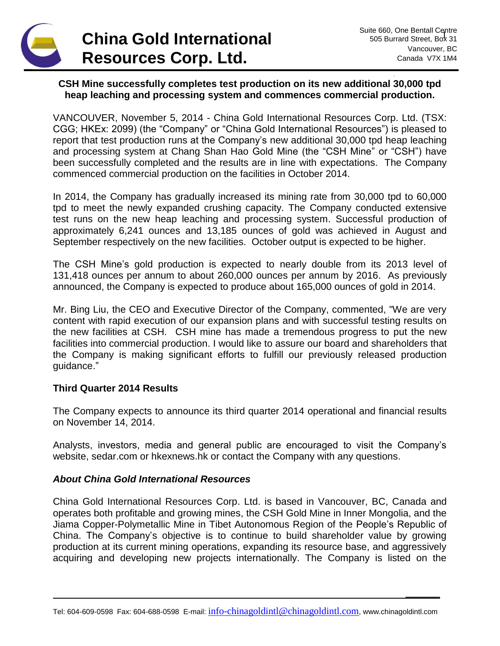# **China Gold International Resources Corp. Ltd.**

**\_\_\_\_\_\_**

#### **CSH Mine successfully completes test production on its new additional 30,000 tpd heap leaching and processing system and commences commercial production.**

VANCOUVER, November 5, 2014 - China Gold International Resources Corp. Ltd. (TSX: CGG; HKEx: 2099) (the "Company" or "China Gold International Resources") is pleased to report that test production runs at the Company's new additional 30,000 tpd heap leaching and processing system at Chang Shan Hao Gold Mine (the "CSH Mine" or "CSH") have been successfully completed and the results are in line with expectations. The Company commenced commercial production on the facilities in October 2014.

In 2014, the Company has gradually increased its mining rate from 30,000 tpd to 60,000 tpd to meet the newly expanded crushing capacity. The Company conducted extensive test runs on the new heap leaching and processing system. Successful production of approximately 6,241 ounces and 13,185 ounces of gold was achieved in August and September respectively on the new facilities. October output is expected to be higher.

The CSH Mine's gold production is expected to nearly double from its 2013 level of 131,418 ounces per annum to about 260,000 ounces per annum by 2016. As previously announced, the Company is expected to produce about 165,000 ounces of gold in 2014.

Mr. Bing Liu, the CEO and Executive Director of the Company, commented, "We are very content with rapid execution of our expansion plans and with successful testing results on the new facilities at CSH. CSH mine has made a tremendous progress to put the new facilities into commercial production. I would like to assure our board and shareholders that the Company is making significant efforts to fulfill our previously released production guidance."

### **Third Quarter 2014 Results**

The Company expects to announce its third quarter 2014 operational and financial results on November 14, 2014.

Analysts, investors, media and general public are encouraged to visit the Company's website, sedar.com or hkexnews.hk or contact the Company with any questions.

#### *About China Gold International Resources*

China Gold International Resources Corp. Ltd. is based in Vancouver, BC, Canada and operates both profitable and growing mines, the CSH Gold Mine in Inner Mongolia, and the Jiama Copper-Polymetallic Mine in Tibet Autonomous Region of the People's Republic of China. The Company's objective is to continue to build shareholder value by growing production at its current mining operations, expanding its resource base, and aggressively acquiring and developing new projects internationally. The Company is listed on the